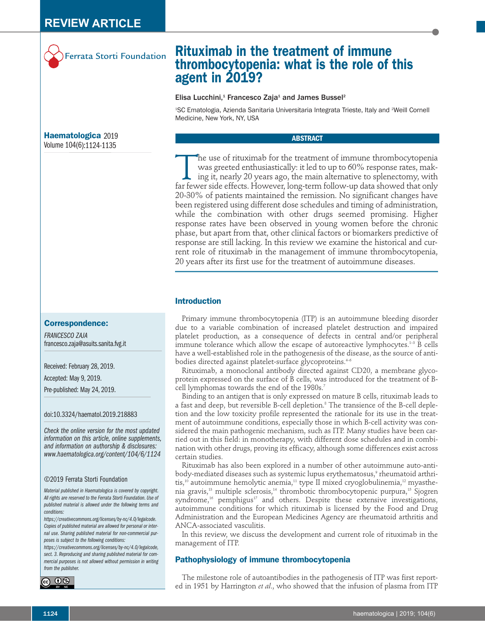

Ferrata Storti Foundation

# **Haematologica** 2019 Volume 104(6):1124-1135

# **Correspondence:**

*FRANCESCO ZAJA* francesco.zaja@asuits.sanita.fvg.it

Received: February 28, 2019.

Accepted: May 9, 2019.

Pre-published: May 24, 2019.

#### doi:10.3324/haematol.2019.218883

*Check the online version for the most updated information on this article, online supplements, and information on authorship & disclosures: www.haematologica.org/content/104/6/1124*

#### ©2019 Ferrata Storti Foundation

*Material published in Haematologica is covered by copyright. All rights are reserved to the Ferrata Storti Foundation. Use of published material is allowed under the following terms and conditions:* 

*https://creativecommons.org/licenses/by-nc/4.0/legalcode. Copies of published material are allowed for personal or internal use. Sharing published material for non-commercial purposes is subject to the following conditions:* 

*https://creativecommons.org/licenses/by-nc/4.0/legalcode, sect. 3. Reproducing and sharing published material for commercial purposes is not allowed without permission in writing from the publisher.*

#### $\odot$ (cc)

# **Rituximab in the treatment of immune thrombocytopenia: what is the role of this agent in 2019?**

# Elisa Lucchini, $1$  Francesco Zaja $1$  and James Bussel $2$

1 SC Ematologia, Azienda Sanitaria Universitaria Integrata Trieste, Italy and 2 Weill Cornell Medicine, New York, NY, USA

# **ABSTRACT**

The use of rituximab for the treatment of immune thrombocytopenia<br>was greeted enthusiastically: it led to up to 60% response rates, mak-<br>ing it, nearly 20 years ago, the main alternative to splenectomy, with<br>far fewer side was greeted enthusiastically: it led to up to 60% response rates, making it, nearly 20 years ago, the main alternative to splenectomy, with far fewer side effects. However, long-term follow-up data showed that only 20-30% of patients maintained the remission. No significant changes have been registered using different dose schedules and timing of administration, while the combination with other drugs seemed promising. Higher response rates have been observed in young women before the chronic phase, but apart from that, other clinical factors or biomarkers predictive of response are still lacking. In this review we examine the historical and current role of rituximab in the management of immune thrombocytopenia, 20 years after its first use for the treatment of autoimmune diseases.

# **Introduction**

Primary immune thrombocytopenia (ITP) is an autoimmune bleeding disorder due to a variable combination of increased platelet destruction and impaired platelet production, as a consequence of defects in central and/or peripheral immune tolerance which allow the escape of autoreactive lymphocytes.<sup>1-3</sup> B cells have a well-established role in the pathogenesis of the disease, as the source of antibodies directed against platelet-surface glycoproteins.<sup>4-6</sup>

Rituximab, a monoclonal antibody directed against CD20, a membrane glycoprotein expressed on the surface of B cells, was introduced for the treatment of Bcell lymphomas towards the end of the 1980s.<sup>7</sup>

Binding to an antigen that is only expressed on mature B cells, rituximab leads to a fast and deep, but reversible B-cell depletion.<sup>8</sup> The transience of the B-cell depletion and the low toxicity profile represented the rationale for its use in the treatment of autoimmune conditions, especially those in which B-cell activity was considered the main pathogenic mechanism, such as ITP. Many studies have been carried out in this field: in monotherapy, with different dose schedules and in combination with other drugs, proving its efficacy, although some differences exist across certain studies.

Rituximab has also been explored in a number of other autoimmune auto-antibody-mediated diseases such as systemic lupus erythematosus,<sup>9</sup> rheumatoid arthritis,<sup>10</sup> autoimmune hemolytic anemia,<sup>11</sup> type II mixed cryoglobulinemia,<sup>12</sup> myasthenia gravis,<sup>13</sup> multiple sclerosis,<sup>14</sup> thrombotic thrombocytopenic purpura,<sup>15</sup> Sjogren syndrome,<sup>16</sup> pemphigus<sup>17</sup> and others. Despite these extensive investigations, autoimmune conditions for which rituximab is licensed by the Food and Drug Administration and the European Medicines Agency are rheumatoid arthritis and ANCA-associated vasculitis.

In this review, we discuss the development and current role of rituximab in the management of ITP.

# **Pathophysiology of immune thrombocytopenia**

The milestone role of autoantibodies in the pathogenesis of ITP was first reported in 1951 by Harrington *et al*., who showed that the infusion of plasma from ITP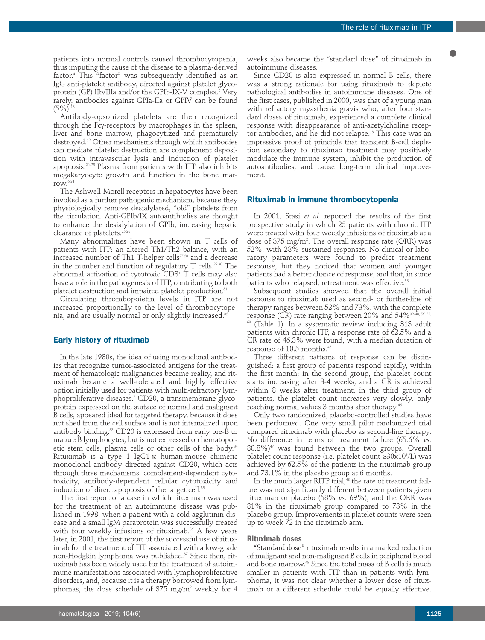patients into normal controls caused thrombocytopenia, thus imputing the cause of the disease to a plasma-derived factor.4 This "factor" was subsequently identified as an IgG anti-platelet antibody, directed against platelet glycoprotein (GP) IIb/IIIa and/or the GPIb-IX-V complex. $5$  Very rarely, antibodies against GPIa-IIa or GPIV can be found  $(5\%)$ .<sup>18</sup>

Antibody-opsonized platelets are then recognized through the Fcγ-receptors by macrophages in the spleen, liver and bone marrow, phagocytized and prematurely destroyed.19 Other mechanisms through which antibodies can mediate platelet destruction are complement deposition with intravascular lysis and induction of platelet apoptosis.20–23 Plasma from patients with ITP also inhibits megakaryocyte growth and function in the bone marrow.6,24

The Ashwell-Morell receptors in hepatocytes have been invoked as a further pathogenic mechanism, because they physiologically remove desialylated, "old" platelets from the circulation. Anti-GPIb/IX autoantibodies are thought to enhance the desialylation of GPIb, increasing hepatic clearance of platelets.<sup>25,26</sup>

Many abnormalities have been shown in T cells of patients with ITP: an altered Th1/Th2 balance, with an increased number of Th1 T-helper cells<sup>27,28</sup> and a decrease in the number and function of regulatory  $T$  cells.<sup>29,30</sup> The abnormal activation of cytotoxic  $CD8^+$  T cells may also have a role in the pathogenesis of ITP, contributing to both platelet destruction and impaired platelet production.<sup>31</sup>

Circulating thrombopoietin levels in ITP are not increased proportionally to the level of thrombocytopenia, and are usually normal or only slightly increased.<sup>32</sup>

### **Early history of rituximab**

In the late 1980s, the idea of using monoclonal antibodies that recognize tumor-associated antigens for the treatment of hematologic malignancies became reality, and rituximab became a well-tolerated and highly effective option initially used for patients with multi-refractory lymphoproliferative diseases.7 CD20, a transmembrane glycoprotein expressed on the surface of normal and malignant B cells, appeared ideal for targeted therapy, because it does not shed from the cell surface and is not internalized upon antibody binding.<sup>33</sup> CD20 is expressed from early pre-B to mature B lymphocytes, but is not expressed on hematopoietic stem cells, plasma cells or other cells of the body.34 Rituximab is a type 1 IgG1-κ human-mouse chimeric monoclonal antibody directed against CD20, which acts through three mechanisms: complement-dependent cytotoxicity, antibody-dependent cellular cytotoxicity and induction of direct apoptosis of the target cell.<sup>35</sup>

The first report of a case in which rituximab was used for the treatment of an autoimmune disease was published in 1998, when a patient with a cold agglutinin disease and a small IgM paraprotein was successfully treated with four weekly infusions of rituximab.<sup>36</sup> A few years later, in 2001, the first report of the successful use of rituximab for the treatment of ITP associated with a low-grade non-Hodgkin lymphoma was published.<sup>37</sup> Since then, rituximab has been widely used for the treatment of autoimmune manifestations associated with lymphoproliferative disorders, and, because it is a therapy borrowed from lymphomas, the dose schedule of 375 mg/m2 weekly for 4

weeks also became the "standard dose" of rituximab in autoimmune diseases.

Since CD20 is also expressed in normal B cells, there was a strong rationale for using rituximab to deplete pathological antibodies in autoimmune diseases. One of the first cases, published in 2000, was that of a young man with refractory myasthenia gravis who, after four standard doses of rituximab, experienced a complete clinical response with disappearance of anti-acetylcholine receptor antibodies, and he did not relapse.<sup>13</sup> This case was an impressive proof of principle that transient B-cell depletion secondary to rituximab treatment may positively modulate the immune system, inhibit the production of autoantibodies, and cause long-term clinical improvement.

# **Rituximab in immune thrombocytopenia**

In 2001, Stasi *et al.* reported the results of the first prospective study in which 25 patients with chronic ITP were treated with four weekly infusions of rituximab at a dose of 375 mg/m2 . The overall response rate (ORR) was 52%, with 28% sustained responses. No clinical or laboratory parameters were found to predict treatment response, but they noticed that women and younger patients had a better chance of response, and that, in some patients who relapsed, retreatment was effective.<sup>38</sup>

Subsequent studies showed that the overall initial response to rituximab used as second- or further-line of therapy ranges between 52% and 73%, with the complete response (CR) rate ranging between  $20\%$  and  $54\%$ <sup>39-48, 56, 58,</sup>  $68$  (Table 1). In a systematic review including 313 adult patients with chronic ITP, a response rate of 62.5% and a CR rate of 46.3% were found, with a median duration of response of 10.5 months.42

Three different patterns of response can be distinguished: a first group of patients respond rapidly, within the first month; in the second group, the platelet count starts increasing after 3-4 weeks, and a CR is achieved within 8 weeks after treatment; in the third group of patients, the platelet count increases very slowly, only reaching normal values 3 months after therapy.<sup>46</sup>

Only two randomized, placebo-controlled studies have been performed. One very small pilot randomized trial compared rituximab with placebo as second-line therapy. No difference in terms of treatment failure (65.6% *vs*. 80.8%)<sup>47</sup> was found between the two groups. Overall platelet count response (i.e. platelet count ≥ $30x10^{\circ}/L$ ) was achieved by 62.5% of the patients in the rituximab group and 73.1% in the placebo group at 6 months.

In the much larger RITP trial, $48$  the rate of treatment failure was not significantly different between patients given rituximab or placebo (58% *vs*. 69%), and the ORR was 81% in the rituximab group compared to 73% in the placebo group. Improvements in platelet counts were seen up to week 72 in the rituximab arm.

#### **Rituximab doses**

"Standard dose" rituximab results in a marked reduction of malignant and non-malignant B cells in peripheral blood and bone marrow.49 Since the total mass of B cells is much smaller in patients with ITP than in patients with lymphoma, it was not clear whether a lower dose of rituximab or a different schedule could be equally effective.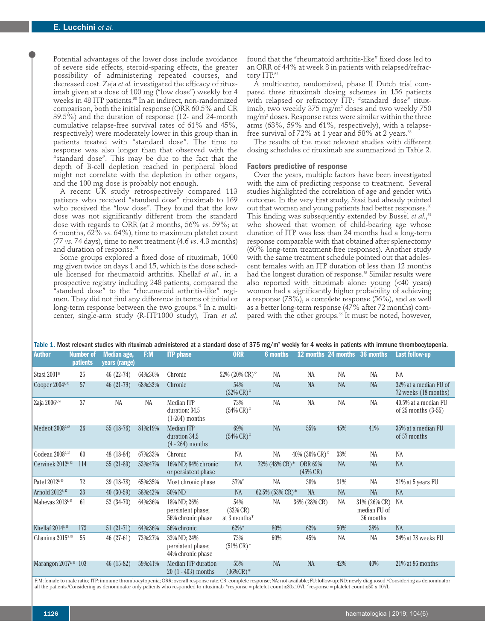Potential advantages of the lower dose include avoidance of severe side effects, steroid-sparing effects, the greater possibility of administering repeated courses, and decreased cost. Zaja *et al.* investigated the efficacy of rituximab given at a dose of 100 mg ("low dose") weekly for 4 weeks in 48 ITP patients.<sup>50</sup> In an indirect, non-randomized comparison, both the initial response (ORR 60.5% and CR 39.5%) and the duration of response (12- and 24-month cumulative relapse-free survival rates of 61% and 45%, respectively) were moderately lower in this group than in patients treated with "standard dose". The time to response was also longer than that observed with the "standard dose". This may be due to the fact that the depth of B-cell depletion reached in peripheral blood might not correlate with the depletion in other organs, and the 100 mg dose is probably not enough.

A recent UK study retrospectively compared 113 patients who received "standard dose" rituximab to 169 who received the "low dose". They found that the low dose was not significantly different from the standard dose with regards to ORR (at 2 months, 56% *vs*. 59%; at 6 months, 62% *vs*. 64%), time to maximum platelet count (77 *vs*. 74 days), time to next treatment (4.6 *vs*. 4.3 months) and duration of response.<sup>51</sup>

Some groups explored a fixed dose of rituximab, 1000 mg given twice on days 1 and 15, which is the dose schedule licensed for rheumatoid arthritis. Khellaf *et al.*, in a prospective registry including 248 patients, compared the "standard dose" to the "rheumatoid arthritis-like" regimen. They did not find any difference in terms of initial or long-term response between the two groups.<sup>41</sup> In a multicenter, single-arm study (R-ITP1000 study), Tran *et al*.

found that the "rheumatoid arthritis-like" fixed dose led to an ORR of 44% at week 8 in patients with relapsed/refractory ITP.52

A multicenter, randomized, phase II Dutch trial compared three rituximab dosing schemes in 156 patients with relapsed or refractory ITP: "standard dose" rituximab, two weekly 375 mg/m2 doses and two weekly 750 mg/m2 doses. Response rates were similar within the three arms (63%, 59% and 61%, respectively), with a relapsefree survival of 72% at 1 year and 58% at 2 years.<sup>53</sup>

The results of the most relevant studies with different dosing schedules of rituximab are summarized in Table 2.

#### **Factors predictive of response**

Over the years, multiple factors have been investigated with the aim of predicting response to treatment. Several studies highlighted the correlation of age and gender with outcome. In the very first study, Stasi had already pointed out that women and young patients had better responses.<sup>36</sup> This finding was subsequently extended by Bussel *et al.*, 54 who showed that women of child-bearing age whose duration of ITP was less than 24 months had a long-term response comparable with that obtained after splenectomy (60% long-term treatment-free responses). Another study with the same treatment schedule pointed out that adolescent females with an ITP duration of less than 12 months had the longest duration of response.<sup>55</sup> Similar results were also reported with rituximab alone: young (<40 years) women had a significantly higher probability of achieving a response  $(73\%)$ , a complete response  $(56\%)$ , and as well as a better long-term response (47% after 72 months) compared with the other groups.<sup>56</sup> It must be noted, however,

| Table 1. Most relevant studies with rituximab administered at a standard dose of 375 mg/m <sup>2</sup> weekly for 4 weeks in patients with immune thrombocytopenia. |  |  |
|---------------------------------------------------------------------------------------------------------------------------------------------------------------------|--|--|
|                                                                                                                                                                     |  |  |

| <b>Author</b>                      | <b>Number of</b><br><b>patients</b> | <b>Median age,</b><br>years (range) | F:M       | <b>ITP</b> phase                                      | <b>ORR</b>                                 | <b>6</b> months            | 12 months 24 months 36 months   |           |                                           | Last follow-up                                  |
|------------------------------------|-------------------------------------|-------------------------------------|-----------|-------------------------------------------------------|--------------------------------------------|----------------------------|---------------------------------|-----------|-------------------------------------------|-------------------------------------------------|
| Stasi 2001 <sup>38</sup>           | 25                                  | $46(22-74)$                         | 64%:36%   | Chronic                                               | 52% $(20\% \text{ CR})^{\circ}$            | <b>NA</b>                  | <b>NA</b>                       | <b>NA</b> | NA                                        | <b>NA</b>                                       |
| Cooper $2004^{s.46}$               | 57                                  | $46(21-79)$                         | 68%:32%   | Chronic                                               | 54%<br>$(32\% \text{ CR})^{\circ}$         | <b>NA</b>                  | <b>NA</b>                       | <b>NA</b> | <b>NA</b>                                 | 32% at a median FU of<br>72 weeks (18 months)   |
| Zaja 2006 <sup>s, 58</sup>         | 37                                  | <b>NA</b>                           | <b>NA</b> | Median ITP<br>duration: 34.5<br>$(1-264)$ months      | 73%<br>$(54\% \text{ CR})^{\circ}$         | <b>NA</b>                  | <b>NA</b>                       | <b>NA</b> | <b>NA</b>                                 | 40.5% at a median FU<br>of $25$ months $(3-55)$ |
| Medeot 2008 <sup>\$, 68</sup>      | 26                                  | $55(18-76)$                         | 81%:19%   | Median ITP<br>duration 34.5<br>$(4 - 264)$ months     | 69%<br>$(54\% \text{ CR})$ °               | <b>NA</b>                  | 55%                             | 45%       | 41%                                       | 35% at a median FU<br>of 57 months              |
| Godeau 20085, 39                   | 60                                  | 48 (18-84)                          | 67%:33%   | Chronic                                               | <b>NA</b>                                  | <b>NA</b>                  | 40% $(30\% \text{ CR})^{\circ}$ | 33%       | <b>NA</b>                                 | <b>NA</b>                                       |
| Cervinek 2012s, 43                 | 114                                 | $55(21-89)$                         | 53%:47%   | 16% ND; 84% chronic<br>or persistent phase            | <b>NA</b>                                  | 72% (48% CR)*              | <b>ORR 69%</b><br>$(45%$ CR)    | <b>NA</b> | NA                                        | <b>NA</b>                                       |
| Patel 2012 <sup>s, 40</sup>        | 72                                  | $39(18-78)$                         | 65%:35%   | Most chronic phase                                    | 57%°                                       | <b>NA</b>                  | 38%                             | 31%       | <b>NA</b>                                 | 21% at 5 years FU                               |
| Arnold 2012s, 47                   | 33                                  | $40(30-59)$                         | 58%:42%   | 50% ND                                                | <b>NA</b>                                  | 62.5% $(53% \text{ CR})$ * | <b>NA</b>                       | <b>NA</b> | <b>NA</b>                                 | <b>NA</b>                                       |
| Mahevas 2013 <sup>s, 45</sup>      | 61                                  | 52 (34-70)                          | 64%:36%   | 18% ND; 26%<br>persistent phase;<br>56% chronic phase | 54%<br>$(32\% \text{ CR})$<br>at 3 months* | <b>NA</b>                  | 36% (28% CR)                    | <b>NA</b> | 31% (26% CR)<br>median FU of<br>36 months | NA                                              |
| Khellaf 2014 <sup>\$,41</sup>      | 173                                 | $51(21-71)$                         | 64%:36%   | 56% chronic                                           | $62\%*$                                    | 80%                        | 62%                             | 50%       | 38%                                       | <b>NA</b>                                       |
| Ghanima 2015 <sup>\$,48</sup>      | 55                                  | $46(27-61)$                         | 73%:27%   | 33% ND; 24%<br>persistent phase;<br>44% chronic phase | 73%<br>$(51\% \text{ CR})^*$               | 60%                        | 45%                             | <b>NA</b> | NA                                        | 24% at 78 weeks FU                              |
| Marangon 2017 <sup>\$,56</sup> 103 |                                     | $46(15-82)$                         | 59%:41%   | <b>Median ITP</b> duration<br>$20(1 - 403)$ months    | 55%<br>$(36\%CR)*$                         | <b>NA</b>                  | <b>NA</b>                       | 42%       | 40%                                       | 21% at 96 months                                |

F:M: female to male ratio; ITP: immune thrombocytopenia; ORR: overall response rate; CR: complete response; NA: not available; FU: follow-up; ND: newly diagnosed. £ Considering as denominator all the patients.\*Considering as denominator only patients who responded to rituximab. \*response = platelet count ≥30x10°/L. °response = platelet count ≥50 x 10°/L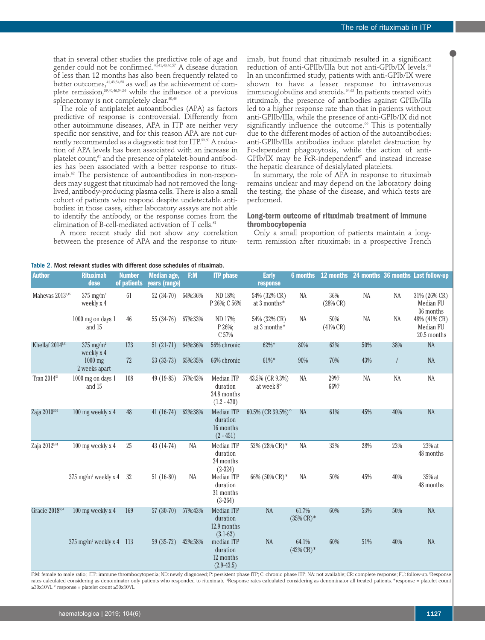that in several other studies the predictive role of age and gender could not be confirmed.40,41,43,46,57 A disease duration of less than 12 months has also been frequently related to better outcomes, $^{41,43,54,58}$  as well as the achievement of complete remission,39,40,46,54,56 while the influence of a previous splenectomy is not completely clear.<sup>40,46</sup>

The role of antiplatelet autoantibodies (APA) as factors predictive of response is controversial. Differently from other autoimmune diseases, APA in ITP are neither very specific nor sensitive, and for this reason APA are not currently recommended as a diagnostic test for ITP.<sup>59,60</sup> A reduction of APA levels has been associated with an increase in platelet count,<sup>61</sup> and the presence of platelet-bound antibodies has been associated with a better response to rituximab.<sup>62</sup> The persistence of autoantibodies in non-responders may suggest that rituximab had not removed the longlived, antibody-producing plasma cells. There is also a small cohort of patients who respond despite undetectable antibodies: in those cases, either laboratory assays are not able to identify the antibody, or the response comes from the elimination of B-cell-mediated activation of  $T$  cells.<sup>61</sup>

A more recent study did not show any correlation between the presence of APA and the response to rituximab, but found that rituximab resulted in a significant reduction of anti-GPIIb/IIIa but not anti-GPIb/IX levels.<sup>63</sup> In an unconfirmed study, patients with anti-GPIb/IX were shown to have a lesser response to intravenous immunoglobulins and steroids.<sup>64,65</sup> In patients treated with rituximab, the presence of antibodies against GPIIb/IIIa led to a higher response rate than that in patients without anti-GPIIb/IIIa, while the presence of anti-GPIb/IX did not significantly influence the outcome.<sup>66</sup> This is potentially due to the different modes of action of the autoantibodies: anti-GPIIb/IIIa antibodies induce platelet destruction by Fc-dependent phagocytosis, while the action of anti- $GPIb/IX$  may be FcR-independent<sup>67</sup> and instead increase the hepatic clearance of desialylated platelets.

In summary, the role of APA in response to rituximab remains unclear and may depend on the laboratory doing the testing, the phase of the disease, and which tests are performed.

# **Long-term outcome of rituximab treatment of immune thrombocytopenia**

Only a small proportion of patients maintain a longterm remission after rituximab: in a prospective French

|   | Table 2. Most relevant studies with different dose schedules of rituximab. |  |  |  |  |
|---|----------------------------------------------------------------------------|--|--|--|--|
| . |                                                                            |  |  |  |  |

| <b>Author</b>                 | <b>Rituximab</b><br>dose                 | <b>Number</b><br>of patients | <b>Median age,</b><br>years (range) | F:M       | <b>ITP</b> phase                                              | <b>Early</b><br>response      | 6 months              |                            |           |            | 12 months 24 months 36 months Last follow-up |
|-------------------------------|------------------------------------------|------------------------------|-------------------------------------|-----------|---------------------------------------------------------------|-------------------------------|-----------------------|----------------------------|-----------|------------|----------------------------------------------|
| Mahevas 2013 <sup>\$,45</sup> | $375$ mg/m <sup>2</sup><br>weekly x 4    | 61                           | 52 (34-70)                          | 64%:36%   | ND 18%:<br>P 26%; C 56%                                       | 54% (32% CR)<br>at 3 months*  | <b>NA</b>             | 36%<br>$(28% \text{ CR})$  | <b>NA</b> | <b>NA</b>  | 31% (26% CR)<br>Median FU<br>36 months       |
|                               | 1000 mg on days 1<br>and 15              | 46                           | $55(34-76)$                         | 67%:33%   | ND 17%;<br>P 26%:<br>C 57%                                    | 54% (32% CR)<br>at 3 months*  | <b>NA</b>             | 50%<br>$(41\% \text{ CR})$ | NA        | NA         | 48% (41% CR)<br>Median FU<br>20.5 months     |
| Khellaf 2014 <sup>\$,41</sup> | $375$ mg/m <sup>2</sup>                  | 173                          | $51(21-71)$                         | 64%:36%   | 56% chronic                                                   | $62\%*$                       | 80%                   | 62%                        | 50%       | 38%        | <b>NA</b>                                    |
|                               | weekly x 4<br>$1000$ mg<br>2 weeks apart | $72\,$                       | $53(33-73)$                         | 65%:35%   | 66% chronic                                                   | 61%*                          | 90%                   | 70%                        | 43%       | $\sqrt{2}$ | <b>NA</b>                                    |
| Tran 2014 <sup>52</sup>       | 1000 mg on days 1<br>and 15              | 108                          | 49 (19-85)                          | 57%:43%   | <b>Median ITP</b><br>duration<br>24.8 months<br>$(1.2 - 470)$ | 43.5% (CR 9.3%)<br>at week 8° | <b>NA</b>             | 29%<br>66%                 | <b>NA</b> | <b>NA</b>  | <b>NA</b>                                    |
| Zaja 2010 <sup>\$,50</sup>    | 100 mg weekly x 4                        | 48                           | 41 $(16-74)$                        | 62%:38%   | <b>Median ITP</b><br>duration<br>16 months<br>$(2 - 451)$     | 60.5% (CR 39.5%)°             | <b>NA</b>             | 61%                        | 45%       | 40%        | NA                                           |
| Zaja 2012 <sup>s,44</sup>     | 100 mg weekly x 4                        | 25                           | $43(14-74)$                         | <b>NA</b> | Median ITP<br>duration<br>24 months<br>$(2-324)$              | 52% (28% CR)*                 | <b>NA</b>             | 32%                        | 28%       | 23%        | 23% at<br>48 months                          |
|                               | 375 mg/m <sup>2</sup> weekly x 4         | 32                           | $51(16-80)$                         | <b>NA</b> | <b>Median ITP</b><br>duration<br>31 months<br>$(3-264)$       | 66% (50% CR)*                 | <b>NA</b>             | 50%                        | 45%       | 40%        | 35% at<br>48 months                          |
| Gracie 2018 <sup>\$,51</sup>  | 100 mg weekly x 4                        | 169                          | $57(30-70)$                         | 57%:43%   | <b>Median ITP</b>                                             | <b>NA</b>                     | 61.7%                 | 60%                        | 53%       | 50%        | <b>NA</b>                                    |
|                               |                                          |                              |                                     |           | duration<br>12.9 months<br>$(3.1 - 62)$                       |                               | $(35\% \text{ CR})^*$ |                            |           |            |                                              |
|                               | $375 \text{ mg/m}^2$ weekly x 4          | - 113                        | $59(35-72)$                         | 42%:58%   | median ITP                                                    | <b>NA</b>                     | 64.1%                 | 60%                        | 51%       | 40%        | <b>NA</b>                                    |
|                               |                                          |                              |                                     |           | duration<br>12 months                                         |                               | $(42\% \text{ CR})^*$ |                            |           |            |                                              |
|                               |                                          |                              |                                     |           | $(2.9-43.5)$                                                  |                               |                       |                            |           |            |                                              |

F:M: female to male ratio; ITP: immune thrombocytopenia; ND: newly diagnosed; P: persistent phase ITP; C: chronic phase ITP; NA: not available; CR: complete response; FU: follow-up. \$ Response rates calculated considering as denominator only patients who responded to rituximab. <sup>\$</sup>Response rates calculated considering as denominator all treated patients. \*response = platelet count ≥30x109 /L ° response = platelet count ≥50x109 /L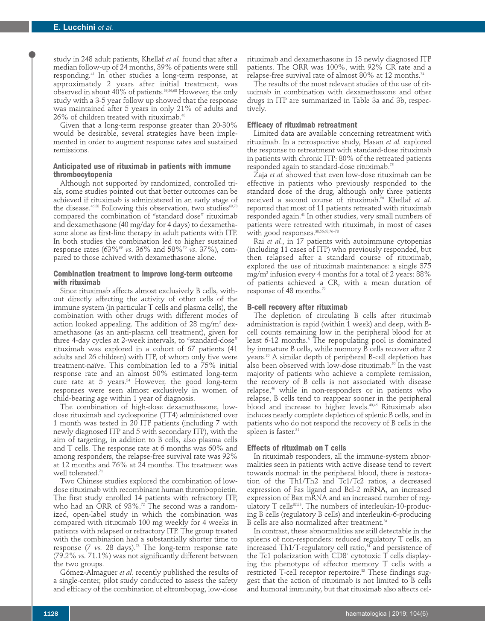study in 248 adult patients, Khellaf *et al.* found that after a median follow-up of 24 months, 39% of patients were still responding.41 In other studies a long-term response, at approximately 2 years after initial treatment, was observed in about 40% of patients.39,56,68 However, the only study with a 3-5 year follow up showed that the response was maintained after 5 years in only 21% of adults and 26% of children treated with rituximab.<sup>40</sup>

Given that a long-term response greater than 20-30% would be desirable, several strategies have been implemented in order to augment response rates and sustained remissions.

# **Anticipated use of rituximab in patients with immune thrombocytopenia**

Although not supported by randomized, controlled trials, some studies pointed out that better outcomes can be achieved if rituximab is administered in an early stage of the disease.<sup>46,58</sup> Following this observation, two studies<sup>69,70</sup> compared the combination of "standard dose" rituximab and dexamethasone (40 mg/day for 4 days) to dexamethasone alone as first-line therapy in adult patients with ITP. In both studies the combination led to higher sustained response rates (63%69 *vs*. 36% and 58%70 *vs*. 37%), compared to those achived with dexamethasone alone.

### **Combination treatment to improve long-term outcome with rituximab**

Since rituximab affects almost exclusively B cells, without directly affecting the activity of other cells of the immune system (in particular T cells and plasma cells), the combination with other drugs with different modes of action looked appealing. The addition of 28 mg/m<sup>2</sup> dexamethasone (as an anti-plasma cell treatment), given for three 4-day cycles at 2-week intervals, to "standard-dose" rituximab was explored in a cohort of 67 patients (41 adults and 26 children) with ITP, of whom only five were treatment-naïve. This combination led to a 75% initial response rate and an almost 50% estimated long-term cure rate at 5 years.<sup>54</sup> However, the good long-term responses were seen almost exclusively in women of child-bearing age within 1 year of diagnosis.

The combination of high-dose dexamethasone, lowdose rituximab and cyclosporine (TT4) administered over 1 month was tested in 20 ITP patients (including 7 with newly diagnosed ITP and 5 with secondary ITP), with the aim of targeting, in addition to B cells, also plasma cells and T cells. The response rate at 6 months was 60% and among responders, the relapse-free survival rate was 92% at 12 months and 76% at 24 months. The treatment was well tolerated.<sup>71</sup>

Two Chinese studies explored the combination of lowdose rituximab with recombinant human thrombopoietin. The first study enrolled 14 patients with refractory ITP, who had an ORR of 93%.<sup>72</sup> The second was a randomized, open-label study in which the combination was compared with rituximab 100 mg weekly for 4 weeks in patients with relapsed or refractory ITP. The group treated with the combination had a substantially shorter time to response  $(7 \text{ vs. } 28 \text{ days})$ .<sup>73</sup> The long-term response rate (79.2% *vs.* 71.1%) was not significantly different between the two groups.

Gómez-Almaguer *et al.* recently published the results of a single-center, pilot study conducted to assess the safety and efficacy of the combination of eltrombopag, low-dose

rituximab and dexamethasone in 13 newly diagnosed ITP patients. The ORR was 100%, with 92% CR rate and a relapse-free survival rate of almost 80% at 12 months.74

The results of the most relevant studies of the use of rituximab in combination with dexamethasone and other drugs in ITP are summarized in Table 3a and 3b, respectively.

#### **Efficacy of rituximab retreatment**

Limited data are available concerning retreatment with rituximab. In a retrospective study, Hasan *et al.* explored the response to retreatment with standard-dose rituximab in patients with chronic ITP: 80% of the retreated patients responded again to standard-dose rituximab.75

Zaja *et al.* showed that even low-dose rituximab can be effective in patients who previously responded to the standard dose of the drug, although only three patients received a second course of rituximab.50 Khellaf *et al*. reported that most of 11 patients retreated with rituximab responded again.41 In other studies, very small numbers of patients were retreated with rituximab, in most of cases with good responses.  $38,56,68,76-78$ 

Rai *et al.*, in 17 patients with autoimmune cytopenias (including 11 cases of ITP) who previously responded, but then relapsed after a standard course of rituximab, explored the use of rituximab maintenance: a single 375 mg/ $m^2$  infusion every 4 months for a total of 2 years: 88% of patients achieved a CR, with a mean duration of response of 48 months.79

#### **B-cell recovery after rituximab**

The depletion of circulating B cells after rituximab administration is rapid (within 1 week) and deep, with Bcell counts remaining low in the peripheral blood for at least 6-12 months.<sup>8</sup> The repopulating pool is dominated by immature B cells, while memory B cells recover after 2 years.80 A similar depth of peripheral B-cell depletion has also been observed with low-dose rituximab.<sup>50</sup> In the vast majority of patients who achieve a complete remission, the recovery of B cells is not associated with disease relapse,46 while in non-responders or in patients who relapse, B cells tend to reappear sooner in the peripheral blood and increase to higher levels.40,46 Rituximab also induces nearly complete depletion of splenic B cells, and in patients who do not respond the recovery of B cells in the spleen is faster.<sup>81</sup>

# **Effects of rituximab on T cells**

In rituximab responders, all the immune-system abnormalities seen in patients with active disease tend to revert towards normal: in the peripheral blood, there is restoration of the Th1/Th2 and Tc1/Tc2 ratios, a decreased expression of Fas ligand and Bcl-2 mRNA, an increased expression of Bax mRNA and an increased number of regulatory T cells<sup>82,83</sup>. The numbers of interleukin-10-producing B cells (regulatory B cells) and interleukin-6-producing B cells are also normalized after treatment.<sup>84</sup>

In contrast, these abnormalities are still detectable in the spleens of non-responders: reduced regulatory T cells, an increased Th1/T-regulatory cell ratio, $81$  and persistence of the Tc1 polarization with  $CD8<sup>+</sup>$  cytotoxic T cells displaying the phenotype of effector memory T cells with a restricted T-cell receptor repertoire.<sup>85</sup> These findings suggest that the action of rituximab is not limited to B cells and humoral immunity, but that rituximab also affects cel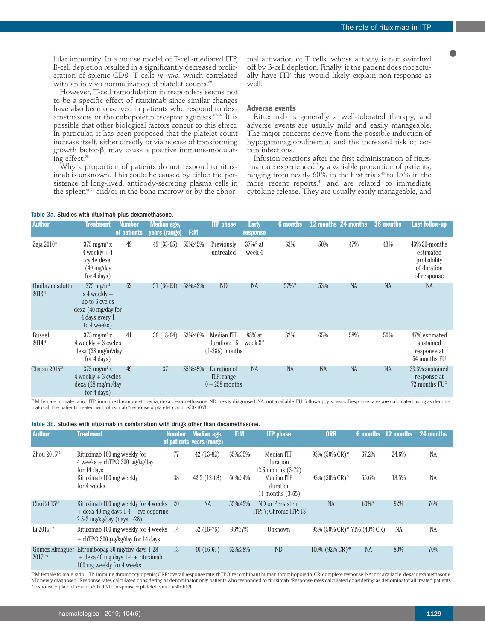lular immunity. In a mouse model of T-cell-mediated ITP, B-cell depletion resulted in a significantly decreased proliferation of splenic CD8+ T cells *in vitro*, which correlated with an in vivo normalization of platelet counts.<sup>86</sup>

However, T-cell remodulation in responders seems not to be a specific effect of rituximab since similar changes have also been observed in patients who respond to dexamethasone or thrombopoietin receptor agonists.<sup>87-89</sup> It is possible that other biological factors concur to this effect. In particular, it has been proposed that the platelet count increase itself, either directly or via release of transforming growth factor-b, may cause a positive immune-modulating effect.90

Why a proportion of patients do not respond to rituximab is unknown. This could be caused by either the persistence of long-lived, antibody-secreting plasma cells in the spleen<sup>81,91</sup> and/or in the bone marrow or by the abnor-

Table 3a. Studies with rituximab plus dexamethasone.

mal activation of T cells, whose activity is not switched off by B-cell depletion. Finally, if the patient does not actually have ITP this would likely explain non-response as well.

#### **Adverse events**

Rituximab is generally a well-tolerated therapy, and adverse events are usually mild and easily manageable. The major concerns derive from the possible induction of hypogammaglobulinemia, and the increased risk of certain infections.

Infusion reactions after the first administration of rituximab are experienced by a variable proportion of patients, ranging from nearly 60% in the first trials<sup>46</sup> to 15% in the more recent reports, $41$  and are related to immediate cytokine release. They are usually easily manageable, and

| <b>Author</b>             | <b>Treatment</b>                                                                                              | <b>Number</b><br>of patients | <b>Median age,</b><br>years (range) | F:M     | <b>ITP</b> phase                             | <b>Early</b><br>response | <b>6</b> months |           | 12 months 24 months | 36 months | <b>Last follow-up</b>                                                      |
|---------------------------|---------------------------------------------------------------------------------------------------------------|------------------------------|-------------------------------------|---------|----------------------------------------------|--------------------------|-----------------|-----------|---------------------|-----------|----------------------------------------------------------------------------|
| Zaja $2010^{69}$          | $375 \text{ mg/m}^2$ x<br>$4$ weekly $+1$<br>cycle dexa<br>$(40 \text{ mg/day})$<br>for $4 \text{ days}$ )    | 49                           | $49(33-65)$                         | 55%:45% | Previously<br>untreated                      | $37\%$ ° at<br>week 4    | 63%             | 50%       | 47%                 | 43%       | $43\%$ 30-months<br>estimated<br>probability<br>of duration<br>of response |
| Gudbrandsdottir           | $375 \text{ mg/m}^2$                                                                                          | 62                           | $51(36-63)$                         | 58%:42% | <b>ND</b>                                    | <b>NA</b>                | 57%°            | 53%       | <b>NA</b>           | <b>NA</b> | <b>NA</b>                                                                  |
| 201370                    | $x$ 4 weekly $+$                                                                                              |                              |                                     |         |                                              |                          |                 |           |                     |           |                                                                            |
|                           | up to 6 cycles                                                                                                |                              |                                     |         |                                              |                          |                 |           |                     |           |                                                                            |
|                           | dexa (40 mg/day for<br>4 days every 1                                                                         |                              |                                     |         |                                              |                          |                 |           |                     |           |                                                                            |
|                           | to 4 weeks)                                                                                                   |                              |                                     |         |                                              |                          |                 |           |                     |           |                                                                            |
| Bussel<br>201454          | $375 \text{ mg/m}^2$ x<br>$4$ weekly $+3$ cycles<br>dexa (28 mg/m <sup>2</sup> /day<br>for $4 \text{ days}$ ) | 41                           | $36(18-64)$                         | 53%:46% | Median ITP<br>duration: 16<br>(1-286) months | 88% at<br>week $8^\circ$ | 82%             | 65%       | 58%                 | 50%       | 47% estimated<br>sustained<br>response at<br>64 months FU                  |
| Chapin 2016 <sup>55</sup> | $375 \text{ mg/m}^2$ x                                                                                        | 49                           | 37                                  | 55%:45% | Duration of                                  | <b>NA</b>                | <b>NA</b>       | <b>NA</b> | <b>NA</b>           | <b>NA</b> | 33.3% sustained                                                            |
|                           | $4$ weekly $+3$ cycles                                                                                        |                              |                                     |         | ITP: range                                   |                          |                 |           |                     |           | response at                                                                |
|                           | $dex$ a (28 mg/m <sup>2</sup> /day                                                                            |                              |                                     |         | $0-258$ months                               |                          |                 |           |                     |           | 72 months $FU^{\circ}$                                                     |
|                           | for $4 \text{ days}$ )                                                                                        |                              |                                     |         |                                              |                          |                 |           |                     |           |                                                                            |

F:M: female to male ratio; ITP: immune thrombocytopenia; dexa: dexamethasone; ND: newly diagnosed; NA: not available; FU: follow-up; yrs: years. Response rates are calculated using as denominator all the patients treated with rituximab.°response = platelet count ≥50x109 /L

#### Table 3b. Studies with rituximab in combination with drugs other than dexamethasone.

| <b>Author</b>                   | <b>Treatment</b>                                                           | <b>Number</b> | <b>Median age,</b><br>of patients years (range) | F:M       | <b>ITP</b> phase                                                     | <b>ORR</b>                  |           | 6 months 12 months | 24 months |
|---------------------------------|----------------------------------------------------------------------------|---------------|-------------------------------------------------|-----------|----------------------------------------------------------------------|-----------------------------|-----------|--------------------|-----------|
| Zhou $2015^{5.73}$              | Rituximab 100 mg weekly for<br>$4$ weeks + rhTPO 300 $\mu$ g/kg/day        | 77            | $42(13-82)$                                     | 65%:35%   | Median ITP<br>duration                                               | $93\%$ (50% CR)*            | 67.2%     | 24.6%              | <b>NA</b> |
|                                 | for 14 days<br>Rituximab 100 mg weekly<br>for 4 weeks                      | 38            | $42.5(12-68)$                                   | 66%:34%   | 12.5 months $(3-72)$<br>Median ITP<br>duration<br>11 months $(3-65)$ | $93\%$ (50% CR)*            | 55.6%     | 18.5%              | <b>NA</b> |
| Choi 2015 <sup>\$,71</sup>      | Rituximab 100 mg weekly for 4 weeks 20                                     |               | <b>NA</b>                                       | 55\%:45\% | ND or Persistent                                                     | <b>NA</b>                   | $60\%*$   | 92%                | 76%       |
|                                 | $+$ dexa 40 mg days 1-4 $+$ cyclosporine<br>2.5-3 mg/kg/day (days $1-28$ ) |               |                                                 |           | ITP: 7; Chronic ITP: 13                                              |                             |           |                    |           |
| Li $2015^{s,72}$                | Rituximab 100 mg weekly for 4 weeks 14                                     |               | $52(18-76)$                                     | 93%:7%    | Unknown                                                              | 93% (50% CR) * 71% (40% CR) |           | <b>NA</b>          | <b>NA</b> |
|                                 | $+$ rhTPO 300 $\mu$ g/kg/day for 14 days                                   |               |                                                 |           |                                                                      |                             |           |                    |           |
| Gomez-Almaguer<br>$2017^{5,74}$ | Eltrombopag 50 mg/day, days 1-28<br>$+$ dexa 40 mg days 1-4 + rituximab    | 13            | $40(16-61)$                                     | 62%:38%   | <b>ND</b>                                                            | 100% $(92\% \text{ CR})$ *  | <b>NA</b> | 80%                | 70%       |
|                                 | 100 mg weekly for 4 weeks                                                  |               |                                                 |           |                                                                      |                             |           |                    |           |

F:M: female to male ratio; ITP: immune thrombocytopenia; ORR: overall response rate; rhTPO: recombinant human thrombopoietin; CR: complete response; NA: not available; dexa: dexamethasone; ND:newly diagnosed. Response rates calculated considering as denominator only patients who responded to rituximab. Response rates calculated considering as denominator all treated patients. \*response = platelet count ≥30x109 /L; °response = platelet count ≥50x109 /L.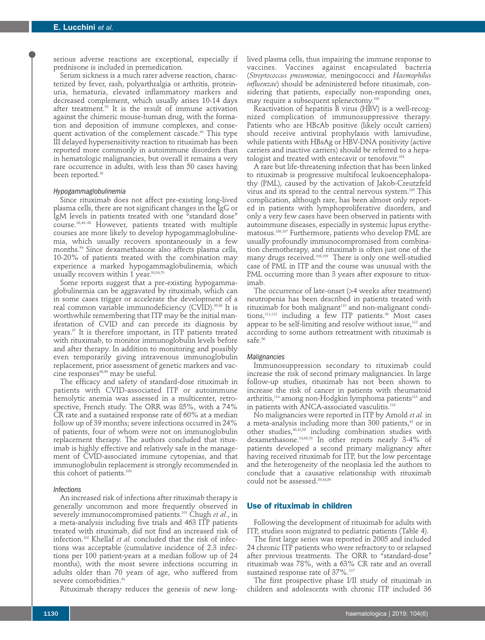serious adverse reactions are exceptional, especially if prednisone is included in premedication.

Serum sickness is a much rarer adverse reaction, characterized by fever, rash, polyarthralgia or arthritis, proteinuria, hematuria, elevated inflammatory markers and decreased complement, which usually arises 10-14 days after treatment.<sup>92</sup> It is the result of immune activation against the chimeric mouse-human drug, with the formation and deposition of immune complexes, and consequent activation of the complement cascade.<sup>93</sup> This type III delayed hypersensitivity reaction to rituximab has been reported more commonly in autoimmune disorders than in hematologic malignancies, but overall it remains a very rare occurrence in adults, with less than 50 cases having been reported.<sup>92</sup>

#### *Hypogammaglobulinemia*

Since rituximab does not affect pre-existing long-lived plasma cells, there are not significant changes in the IgG or IgM levels in patients treated with one "standard dose" course.38,46–48 However, patients treated with multiple courses are more likely to develop hypogammaglobulinemia, which usually recovers spontaneously in a few months.94 Since dexamethasone also affects plasma cells, 10-20% of patients treated with the combination may experience a marked hypogammaglobulinemia, which usually recovers within 1 year.<sup>50,54,70</sup>

Some reports suggest that a pre-existing hypogammaglobulinemia can be aggravated by rituximab, which can in some cases trigger or accelerate the development of a real common variable immunodeficiency (CVID).<sup>95,96</sup> It is worthwhile remembering that ITP may be the initial manifestation of CVID and can precede its diagnosis by years.<sup>97</sup> It is therefore important, in ITP patients treated with rituximab, to monitor immunoglobulin levels before and after therapy. In addition to monitoring and possibly even temporarily giving intravenous immunoglobulin replacement, prior assessment of genetic markers and vaccine responses<sup>98,99</sup> may be useful.

The efficacy and safety of standard-dose rituximab in patients with CVID-associated ITP or autoimmune hemolytic anemia was assessed in a multicenter, retrospective, French study. The ORR was 85%, with a 74% CR rate and a sustained response rate of 60% at a median follow up of 39 months; severe infections occurred in 24% of patients, four of whom were not on immunoglobulin replacement therapy. The authors concluded that rituximab is highly effective and relatively safe in the management of CVID-associated immune cytopenias, and that immunoglobulin replacement is strongly recommended in this cohort of patients.<sup>100</sup>

#### *Infections*

An increased risk of infections after rituximab therapy is generally uncommon and more frequently observed in severely immunocompromised patients.101 Chugh *et al.*, in a meta-analysis including five trials and 463 ITP patients treated with rituximab, did not find an increased risk of infection.102 Khellaf *et al.* concluded that the risk of infections was acceptable (cumulative incidence of 2.3 infections per 100 patient-years at a median follow up of 24 months), with the most severe infections occurring in adults older than 70 years of age, who suffered from severe comorbidities.<sup>4</sup>

Rituximab therapy reduces the genesis of new long-

lived plasma cells, thus impairing the immune response to vaccines. Vaccines against encapsulated bacteria (*Streptococcus pneumoniae,* meningococci and *Haemophilus influenzae*) should be administered before rituximab, considering that patients, especially non-responding ones, may require a subsequent splenectomy.103

Reactivation of hepatitis B virus (HBV) is a well-recognized complication of immunosuppressive therapy. Patients who are HBcAb positive (likely occult carriers) should receive antiviral prophylaxis with lamivudine, while patients with HBsAg or HBV-DNA positivity (active carriers and inactive carriers) should be referred to a hepatologist and treated with entecavir or tenofovir.<sup>104</sup>

A rare but life-threatening infection that has been linked to rituximab is progressive multifocal leukoencephalopathy (PML), caused by the activation of Jakob-Creutzfeld virus and its spread to the central nervous system.105 This complication, although rare, has been almost only reported in patients with lymphoproliferative disorders, and only a very few cases have been observed in patients with autoimmune diseases, especially in systemic lupus erythematosus.106,107 Furthermore, patients who develop PML are usually profoundly immunocompromised from combination chemotherapy, and rituximab is often just one of the many drugs received.<sup>108,109</sup> There is only one well-studied case of PML in ITP and the course was unusual with the PML occurring more than 3 years after exposure to rituximab.

The occurrence of late-onset (>4 weeks after treatment) neutropenia has been described in patients treated with rituximab for both malignant<sup>110</sup> and non-malignant conditions,<sup>111,112</sup> including a few ITP patients.<sup>40</sup> Most cases appear to be self-limiting and resolve without issue, $113$  and according to some authors retreatment with rituximab is safe.<sup>86</sup>

#### *Malignancies*

Immunosuppression secondary to rituximab could increase the risk of second primary malignancies. In large follow-up studies, rituximab has not been shown to increase the risk of cancer in patients with rheumatoid arthritis,<sup>114</sup> among non-Hodgkin lymphoma patients<sup>115</sup> and in patients with ANCA-associated vasculitis.<sup>116</sup>

No malignancies were reported in ITP by Arnold *et al.* in a meta-analysis including more than  $300$  patients,<sup>42</sup> or in other studies,40,41,58 including combination studies with dexamethasone.54,69,70 In other reports nearly 3-4% of patients developed a second primary malignancy after having received rituximab for ITP, but the low percentage and the heterogeneity of the neoplasia led the authors to conclude that a causative relationship with rituximab could not be assessed.<sup>39,44,56</sup>

# **Use of rituximab in children**

Following the development of rituximab for adults with ITP, studies soon migrated to pediatric patients (Table 4).

The first large series was reported in 2005 and included 24 chronic ITP patients who were refractory to or relapsed after previous treatments. The ORR to "standard-dose" rituximab was 78%, with a 63% CR rate and an overall sustained response rate of 37%.117

The first prospective phase I/II study of rituximab in children and adolescents with chronic ITP included 36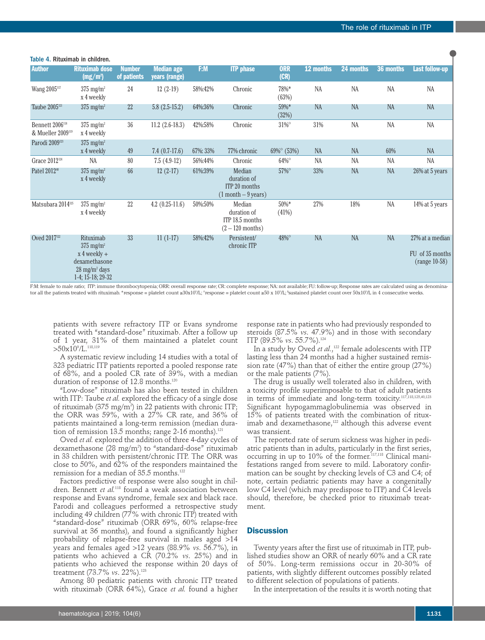#### Table 4. Rituximab in children.

| Table 4. Rituxiniab in children.                 |                                                                |                              |                                    |          |                                                                |                           |           |           |           |                       |
|--------------------------------------------------|----------------------------------------------------------------|------------------------------|------------------------------------|----------|----------------------------------------------------------------|---------------------------|-----------|-----------|-----------|-----------------------|
| <b>Author</b>                                    | <b>Rituximab dose</b><br>$(mg/m^2)$                            | <b>Number</b><br>of patients | <b>Median age</b><br>years (range) | F:M      | <b>ITP</b> phase                                               | <b>ORR</b><br>(CR)        | 12 months | 24 months | 36 months | <b>Last follow-up</b> |
| Wang 2005 <sup>117</sup>                         | $375$ mg/m <sup>2</sup><br>x 4 weekly                          | 24                           | $12(2-19)$                         | 58%:42%  | Chronic                                                        | 78%*<br>(63%)             | <b>NA</b> | <b>NA</b> | <b>NA</b> | <b>NA</b>             |
| Taube 2005 <sup>121</sup>                        | $375$ mg/m <sup>2</sup>                                        | 22                           | $5.8(2.5-15.2)$                    | 64%:36%  | Chronic                                                        | 59%*<br>(32%)             | <b>NA</b> | <b>NA</b> | <b>NA</b> | <b>NA</b>             |
| Bennett 2006 <sup>118</sup><br>& Mueller 2009119 | $375 \text{ mg/m}^2$<br>x 4 weekly                             | $36\,$                       | $11.2$ $(2.6-18.3)$                | 42%:58%  | Chronic                                                        | $31\%$ °                  | 31%       | <b>NA</b> | NA        | <b>NA</b>             |
| Parodi 2009 <sup>123</sup>                       | $375$ mg/m <sup>2</sup><br>x 4 weekly                          | 49                           | $7.4(0.7-17.6)$                    | 67%: 33% | 77% chronic                                                    | $69\%$ <sup>o</sup> (53%) | <b>NA</b> | NA        | 60%       | <b>NA</b>             |
| Grace 2012 <sup>124</sup>                        | <b>NA</b>                                                      | 80                           | $7.5(4.9-12)$                      | 56%:44%  | Chronic                                                        | $64\%$                    | <b>NA</b> | <b>NA</b> | <b>NA</b> | <b>NA</b>             |
| Patel 2012 <sup>40</sup>                         | $375 \text{ mg/m}^2$                                           | 66                           | $12(2-17)$                         | 61%:39%  | Median                                                         | 57%°                      | 33%       | <b>NA</b> | <b>NA</b> | 26% at 5 years        |
|                                                  | x 4 weekly                                                     |                              |                                    |          | duration of<br>ITP 20 months                                   |                           |           |           |           |                       |
|                                                  |                                                                |                              |                                    |          | $(1$ month $-9$ years)                                         |                           |           |           |           |                       |
| Matsubara 2014 <sup>125</sup>                    | $375$ mg/m <sup>2</sup><br>x 4 weekly                          | $22\,$                       | $4.2(0.25-11.6)$                   | 50%:50%  | Median<br>duration of<br>ITP 18.5 months<br>$(2 - 120$ months) | $50\%*$<br>(41%)          | 27%       | 18%       | NA        | 14% at 5 years        |
| Oved 2017 <sup>122</sup>                         | Rituximab<br>$375$ mg/m <sup>2</sup>                           | 33                           | $11(1-17)$                         | 58%:42%  | Persistent/<br>chronic ITP                                     | 48%°                      | <b>NA</b> | <b>NA</b> | <b>NA</b> | 27% at a median       |
|                                                  | $x$ 4 weekly $+$                                               |                              |                                    |          |                                                                |                           |           |           |           | FU of 35 months       |
|                                                  | dexamethasone<br>$28 \text{ mg/m}^2$ days<br>1-4; 15-18; 29-32 |                              |                                    |          |                                                                |                           |           |           |           | $(range 10-58)$       |
|                                                  |                                                                |                              |                                    |          |                                                                |                           |           |           |           |                       |

F:M: female to male ratio; ITP: immune thrombocytopenia; ORR: overall response rate; CR: complete response; NA: not available; FU: follow-up; Response rates are calculated using as denominator all the patients treated with rituximab. \*response = platelet count ≥30x10%L; °response = platelet count ≥50 x 10%L; \$sustained platelet count over 50x10%L in 4 consecutive weeks.

patients with severe refractory ITP or Evans syndrome treated with "standard-dose" rituximab. After a follow up of 1 year, 31% of them maintained a platelet count  $>50$ x $10^9$ /L.<sup>118,119</sup>

A systematic review including 14 studies with a total of 323 pediatric ITP patients reported a pooled response rate of 68%, and a pooled CR rate of 39%, with a median duration of response of 12.8 months.<sup>120</sup>

"Low-dose" rituximab has also been tested in children with ITP: Taube *et al.* explored the efficacy of a single dose of rituximab (375 mg/m2 ) in 22 patients with chronic ITP; the ORR was 59%, with a 27% CR rate, and 36% of patients maintained a long-term remission (median duration of remission 13.5 months; range 2-16 months).<sup>121</sup>

Oved *et al.* explored the addition of three 4-day cycles of dexamethasone (28 mg/m2 ) to "standard-dose" rituximab in 33 children with persistent/chronic ITP. The ORR was close to 50%, and 62% of the responders maintained the remission for a median of 35.5 months.122

Factors predictive of response were also sought in children. Bennett *et al.*<sup>118</sup> found a weak association between response and Evans syndrome, female sex and black race. Parodi and colleagues performed a retrospective study including 49 children (77% with chronic ITP) treated with "standard-dose" rituximab (ORR 69%, 60% relapse-free survival at 36 months), and found a significantly higher probability of relapse-free survival in males aged >14 years and females aged >12 years (88.9% *vs*. 56.7%), in patients who achieved a CR (70.2% *vs*. 25%) and in patients who achieved the response within 20 days of treatment (73.7% *vs*. 22%).123

Among 80 pediatric patients with chronic ITP treated with rituximab (ORR 64%), Grace *et al.* found a higher response rate in patients who had previously responded to steroids (87.5% *vs*. 47.9%) and in those with secondary ITP (89.5% *vs*. 55.7%).124

In a study by Oved *et al.*,<sup>122</sup> female adolescents with ITP lasting less than 24 months had a higher sustained remission rate (47%) than that of either the entire group (27%) or the male patients (7%).

The drug is usually well tolerated also in children, with a toxicity profile superimposable to that of adult patients in terms of immediate and long-term toxicity.117,118,125,40,123 Significant hypogammaglobulinemia was observed in 15% of patients treated with the combination of rituximab and dexamethasone,<sup>122</sup> although this adverse event was transient.

The reported rate of serum sickness was higher in pediatric patients than in adults, particularly in the first series, occurring in up to 10% of the former.<sup>117,118</sup> Clinical manifestations ranged from severe to mild. Laboratory confirmation can be sought by checking levels of C3 and C4; of note, certain pediatric patients may have a congenitally low C4 level (which may predispose to ITP) and C4 levels should, therefore, be checked prior to rituximab treatment.

#### **Discussion**

Twenty years after the first use of rituximab in ITP, published studies show an ORR of nearly 60% and a CR rate of 50%. Long-term remissions occur in 20-30% of patients, with slightly different outcomes possibly related to different selection of populations of patients.

In the interpretation of the results it is worth noting that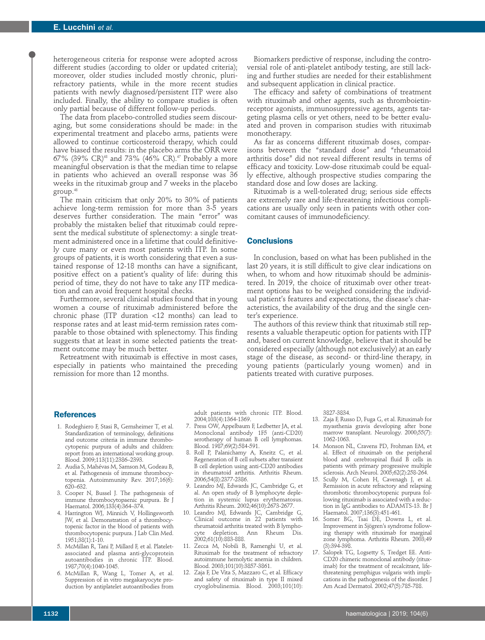heterogeneous criteria for response were adopted across different studies (according to older or updated criteria); moreover, older studies included mostly chronic, plurirefractory patients, while in the more recent studies patients with newly diagnosed/persistent ITP were also included. Finally, the ability to compare studies is often only partial because of different follow-up periods.

The data from placebo-controlled studies seem discouraging, but some considerations should be made: in the experimental treatment and placebo arms, patients were allowed to continue corticosteroid therapy, which could have biased the results: in the placebo arms the ORR were 67% (39% CR)<sup>48</sup> and 73% (46% CR).<sup>47</sup> Probably a more meaningful observation is that the median time to relapse in patients who achieved an overall response was 36 weeks in the rituximab group and 7 weeks in the placebo group.48

The main criticism that only 20% to 30% of patients achieve long-term remission for more than 3-5 years deserves further consideration. The main "error" was probably the mistaken belief that rituximab could represent the medical substitute of splenectomy: a single treatment administered once in a lifetime that could definitively cure many or even most patients with ITP. In some groups of patients, it is worth considering that even a sustained response of 12-18 months can have a significant, positive effect on a patient's quality of life: during this period of time, they do not have to take any ITP medication and can avoid frequent hospital checks.

Furthermore, several clinical studies found that in young women a course of rituximab administered before the chronic phase (ITP duration <12 months) can lead to response rates and at least mid-term remission rates comparable to those obtained with splenectomy. This finding suggests that at least in some selected patients the treatment outcome may be much better.

Retreatment with rituximab is effective in most cases, especially in patients who maintained the preceding remission for more than 12 months.

Biomarkers predictive of response, including the controversial role of anti-platelet antibody testing, are still lacking and further studies are needed for their establishment and subsequent application in clinical practice.

The efficacy and safety of combinations of treatment with rituximab and other agents, such as thromboietinreceptor agonists, immunosuppressive agents, agents targeting plasma cells or yet others, need to be better evaluated and proven in comparison studies with rituximab monotherapy.

As far as concerns different rituximab doses, comparisons between the "standard dose" and "rheumatoid arthritis dose" did not reveal different results in terms of efficacy and toxicity. Low-dose rituximab could be equally effective, although prospective studies comparing the standard dose and low doses are lacking.

Rituximab is a well-tolerated drug; serious side effects are extremely rare and life-threatening infectious complications are usually only seen in patients with other concomitant causes of immunodeficiency.

# **Conclusions**

In conclusion, based on what has been published in the last 20 years, it is still difficult to give clear indications on when, to whom and how rituximab should be administered. In 2019, the choice of rituximab over other treatment options has to be weighed considering the individual patient's features and expectations, the disease's characteristics, the availability of the drug and the single center's experience.

The authors of this review think that rituximab still represents a valuable therapeutic option for patients with ITP and, based on current knowledge, believe that it should be considered especially (although not exclusively) at an early stage of the disease, as second- or third-line therapy, in young patients (particularly young women) and in patients treated with curative purposes.

### **References**

- 1. Rodeghiero F, Stasi R, Gernsheimer T, et al. Standardization of terminology, definitions and outcome criteria in immune thrombocytopenic purpura of adults and children: report from an international working group. Blood. 2009;113(11):2386–2393.
- 2. Audia S, Mahévas M, Samson M, Godeau B, et al. Pathogenesis of immune thrombocytopenia. Autoimmunity Rev. 2017;16(6): 620–632.
- 3. Cooper N, Bussel J. The pathogenesis of immune thrombocytopaenic purpura. Br J Haematol. 2006;133(4):364–374.
- 4. Harrington WJ, Minnich V, Hollingsworth JW, et al. Demonstration of a thrombocytopenic factor in the blood of patients with thrombocytopenic purpura. J Lab Clin Med. 1951;38(1):1-10.
- 5. McMillan R, Tani P, Millard F, et al. Plateletassociated and plasma anti-glycoprotein autoantibodies in chronic ITP. Blood. 1987;70(4):1040-1045.
- 6. McMillan R, Wang L, Tomer A, et al. Suppression of in vitro megakaryocyte production by antiplatelet autoantibodies from

adult patients with chronic ITP. Blood. 2004;103(4):1364-1369.

- 7. Press OW, Appelbaum F, Ledbetter JA, et al. Monoclonal antibody 1F5 (anti-CD20) serotherapy of human B cell lymphomas. Blood. 1987;69(2):584-591.
- 8. Roll P, Palanichamy A, Kneitz C, et al. Regeneration of B cell subsets after transient B cell depletion using anti-CD20 antibodies in rheumatoid arthritis. Arthritis Rheum. 2006;54(8):2377-2386.
- 9. Leandro MJ, Edwards JC, Cambridge G, et al. An open study of B lymphocyte depletion in systemic lupus erythematosus. Arthritis Rheum. 2002;46(10):2673-2677.
- 10. Leandro MJ, Edwards JC, Cambridge G, Clinical outcome in 22 patients with rheumatoid arthritis treated with B lympho-<br>cyte depletion. Ann Rheum Dis. cyte depletion. Ann Rheum Dis. 2002;61(10):883-888.
- 11. Zecca M, Nobili B, Ramenghi U, et al. Rituximab for the treatment of refractory autoimmune hemolytic anemia in children. Blood. 2003;101(10):3857-3861.
- 12. Zaja F, De Vita S, Mazzaro C, et al. Efficacy and safety of rituximab in type II mixed cryoglobulinemia. Blood. 2003;101(10):

3827-3834.

- 13. Zaja F, Russo D, Fuga G, et al. Rituximab for myasthenia gravis developing after bone marrow transplant. Neurology. 2000;55(7): 1062-1063.
- 14. Monson NL, Cravens PD, Frohman EM, et al. Effect of rituximab on the peripheral blood and cerebrospinal fluid B cells in patients with primary progressive multiple sclerosis. Arch Neurol. 2005;62(2):258-264.
- 15. Scully M, Cohen H, Cavenagh J, et al. Remission in acute refractory and relapsing thrombotic thrombocytopenic purpura following rituximab is associated with a reduction in IgG antibodies to ADAMTS-13. Br J Haematol. 2007;136(3):451-461.
- 16. Somer BG, Tsai DE, Downs L, et al. Improvement in Sjögren's syndrome following therapy with rituximab for marginal zone lymphoma. Arthritis Rheum. 2003;49 (3):394-398.
- 17. Salopek TG, Logsetty S, Tredget EE. Anti-CD20 chimeric monoclonal antibody (rituximab) for the treatment of recalcitrant, lifethreatening pemphigus vulgaris with implications in the pathogenesis of the disorder. J Am Acad Dermatol. 2002;47(5):785-788.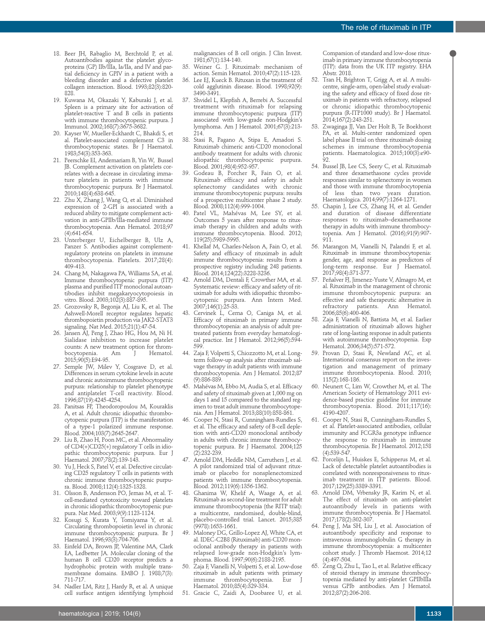- 18. Beer JH, Rabaglio M, Berchtold P, et al. Autoantibodies against the platelet glycoproteins (GP) IIb/IIIa, Ia/IIa, and IV and partial deficiency in GPIV in a patient with a bleeding disorder and a defective platelet collagen interaction. Blood. 1993;82(3):820- 828.
- 19. Kuwana M, Okazaki Y, Kaburaki J, et al. Spleen is a primary site for activation of platelet-reactive T and B cells in patients with immune thrombocytopenic purpura. J Immunol. 2002;168(7):3675-3682.
- 20. Kayser W, Mueller-Eckhardt C, Bhakdi S, et al. Platelet-associated complement C3 in thrombocytopenic states. Br J Haematol. 1983;54(3):353-363.
- 21. Peerschke EI, Andemariam B, Yin W, Bussel JB. Complement activation on platelets correlates with a decrease in circulating immature platelets in patients with immune thrombocytopenic purpura. Br J Haematol. 2010;148(4):638-645.
- 22. Zhu X, Zhang J, Wang Q, et al. Diminished expression of 2-GPI is associated with a reduced ability to mitigate complement activation in anti-GPIIb/IIIa-mediated immune thrombocytopenia. Ann Hematol. 2018;97 (4):641-654.
- 23. Unterberger U, Eichelberger B, Ulz A, Panzer S. Antibodies against complementregulatory proteins on platelets in immune thrombocytopenia. Platelets. 2017;28(4): 409-413.
- 24. Chang M, Nakagawa PA, Williams SA, et al. Immune thrombocytopenic purpura (ITP) plasma and purified ITP monoclonal autoantibodies inhibit megakaryocytopoiesis in vitro. Blood. 2003;102(3):887-895.
- 25. Grozovsky R, Begonja AJ, Liu K, et al. The Ashwell-Morell receptor regulates hepatic thrombopoietin production via JAK2-STAT3 signaling. Nat Med. 2015;21(1):47-54.
- 26. Jansen AJ, Peng J, Zhao HG, Hou M, Ni H. Sialidase inhibition to increase platelet counts: A new treatment option for thrombocytopenia. Am J Hematol. 2015;90(5):E94-95.
- 27. Semple JW, Milev Y, Cosgrave D, et al. Differences in serum cytokine levels in acute and chronic autoimmune thrombocytopenic purpura: relationship to platelet phenotype and antiplatelet T-cell reactivity. Blood. 1996;87(19):4245-4254.
- 28. Panitsas FP, Theodoropoulou M, Kouraklis A, et al. Adult chronic idiopathic thrombocytopenic purpura (ITP) is the manifestation of a type-1 polarized immune response. Blood. 2004;103(7):2645-2647.
- 29. Liu B, Zhao H, Poon MC, et al. Abnormality of CD4(+)CD25(+) regulatory T cells in idiopathic thrombocytopenic purpura. Eur J Haematol. 2007;78(2):139-143.
- 30. Yu J, Heck S, Patel V, et al. Defective circulating CD25 regulatory T cells in patients with chronic immune thrombocytopenic purpura. Blood. 2008;112(4):1325-1328.
- 31. Olsson B, Andersson PO, Jernas M, et al. Tcell-mediated cytotoxicity toward platelets in chronic idiopathic thrombocytopenic purpura. Nat Med. 2003;9(9):1123-1124.
- 32. Kosugi S, Kurata Y, Tomiyama Y, et al. Circulating thrombopoietin level in chronic immune thrombocytopenic purpura. Br J Haematol. 1996;93(3):704-706.
- 33. Einfeld DA, Brown JP, Valentine MA, Clark EA, Ledbetter JA. Molecular cloning of the human B cell CD20 receptor predicts a hydrophobic protein with multiple transmembrane domains. EMBO J. 1988;7(3): 711-717.
- 34. Nadler LM, Ritz J, Hardy R, et al. A unique cell surface antigen identifying lymphoid

malignancies of B cell origin. J Clin Invest. 1981;67(1):134-140.

- 35. Weiner G. J. Rituximab: mechanism of action. Semin Hematol. 2010;47(2):115-123.
- 36. Lee EJ, Kueck B. Rituxan in the treatment of cold agglutinin disease. Blood. 1998;92(9): 3490-3491.
- 37. Shvidel L, Klepfish A, Berrebi A. Successful treatment with rituximab for relapsing immune thrombocytopenic purpura (ITP) associated with low-grade non-Hodgkin's lymphoma. Am J Hematol. 2001;67(3):213- 214.
- 38. Stasi R, Pagano A, Stipa E, Amadori S. Rituximab chimeric anti-CD20 monoclonal antibody treatment for adults with chronic idiopathic thrombocytopenic purpura. Blood. 2001;98(4):952-957.
- 39. Godeau B, Porcher R, Fain O, et al. Rituximab efficacy and safety in adult splenectomy candidates with chronic immune thrombocytopenic purpura: results of a prospective multicenter phase 2 study. Blood. 2008;112(4):999-1004.
- 40. Patel VL, Mahévas M, Lee SY, et al. Outcomes 5 years after response to rituximab therapy in children and adults with immune thrombocytopenia. Blood. 2012; 119(25):5989-5995.
- 41. Khellaf M, Charles-Nelson A, Fain O, et al. Safety and efficacy of rituximab in adult immune thrombocytopenia: results from a prospective registry including 248 patients. Blood. 2014;124(22):3228-3236.
- 42. Arnold DM, Dentali F, Crowther MA, et al. Systematic review: efficacy and safety of rituximab for adults with idiopathic thrombocytopenic purpura. Ann Intern Med. 2007;146(1):25-33.
- 43. Cervinek L, Cerna O, Caniga M, et al. Efficacy of rituximab in primary immune thrombocytopenia: an analysis of adult pretreated patients from everyday hematological practice. Int J Hematol. 2012;96(5):594- 599.
- 44. Zaja F, Volpetti S, Chiozzotto M, et al. Longterm follow-up analysis after rituximab salvage therapy in adult patients with immune thrombocytopenia. Am J Hematol. 2012;87 (9):886-889.
- 45. Mahévas M, Ebbo M, Audia S, et al. Efficacy and safety of rituximab given at 1,000 mg on days 1 and 15 compared to the standard regimen to treat adult immune thrombocytopenia. Am J Hematol. 2013;88(10):858-861.
- 46. Cooper N, Stasi R, Cunningham-Rundles S, et al. The efficacy and safety of B-cell depletion with anti-CD20 monoclonal antibody in adults with chronic immune thrombocytopenic purpura. Br J Haematol. 2004;125 (2):232-239.
- 47. Arnold DM, Heddle NM, Carruthers J, et al. A pilot randomized trial of adjuvant rituximab or placebo for nonsplenectomized patients with immune thrombocytopenia. Blood. 2012;119(6):1356-1362.
- 48. Ghanima W, Khelif A, Waage A, et al. Rituximab as second-line treatment for adult immune thrombocytopenia (the RITP trial): a multicentre, randomised, double-blind, placebo-controlled trial. Lancet. 2015;385 (9978):1653-1661.
- 49. Maloney DG, Grillo-Lopez AJ, White CA, et al. IDEC-C2B8 (Rituximab) anti-CD20 monoclonal antibody therapy in patients with relapsed low-grade non-Hodgkin's lymphoma. Blood. 1997;90(6):2188-2195.
- 50. Zaja F, Vianelli N, Volpetti S, et al. Low-dose rituximab in adult patients with primary thrombocytopenia. Haematol. 2010;85(4):329-334.
- 51. Gracie C, Zaidi A, Doobaree U, et al.

Comparsion of standard and low-dose rituximab in primary immune thrombocytopenia (ITP): data from the UK ITP registry. EHA Abstr. 2018.

- 52. Tran H, Brighton T, Grigg A, et al. A multicentre, single-arm, open-label study evaluating the safety and efficacy of fixed dose rituximab in patients with refractory, relapsed or chronic idiopathic thrombocytopenic purpura (R-ITP1000 study). Br J Haematol. 2014;167(2):243-251.
- 53. Zwaginga JJ, Van Der Holt B, Te Boekhorst PA, et al. Multi-center randomized open label phase II trial on three rituximab dosing schemes in immune thrombocytopenia patients. Haematologica. 2015;100(3):e90- $92.$
- 54. Bussel JB, Lee CS, Seery C, et al. Rituximab and three dexamethasone cycles provide responses similar to splenectomy in women and those with immune thrombocytopenia of less than two years duration. Haematologica. 2014;99(7):1264-1271.
- 55. Chapin J, Lee CS, Zhang H, et al. Gender and duration of disease differentiate responses to rituximab–dexamethasone therapy in adults with immune thrombocytopenia. Am J Hematol. (2016);91(9):907- 911.
- 56. Marangon M, Vianelli N, Palandri F, et al. Rituximab in immune thrombocytopenia: gender, age, and response as predictors of long-term response. Eur J Haematol. 2017;98(4):371-377.
- 57. Peñalver FJ, Jimenez-Yuste V, Almagro M, et al. Rituximab in the management of chronic immune thrombocytopenic purpura: an effective and safe therapeutic alternative in refractory patients. Ann Hematol. 2006;85(6):400-406.
- 58. Zaja F, Vianelli N, Battista M, et al. Earlier administration of rituximab allows higher rate of long-lasting response in adult patients with autoimmune thrombocytopenia. Exp Hematol. 2006;34(5):571-572.
- 59. Provan D, Stasi R, Newland AC, et al. International consensus report on the investigation and management of primary immune thrombocytopenia. Blood. 2010; 115(2):168-186.
- 60. Neunert C, Lim W, Crowther M, et al. The American Society of Hematology 2011 evidence-based practice guideline for immune thrombocytopenia. Blood. 2011;117(16): 4190-4207.
- 61. Cooper N, Stasi R, Cunningham-Rundles S, et al. Platelet-associated antibodies, cellular immunity and FCGR3a genotype influence the response to rituximab in immune thrombocytopenia. Br J Haematol. 2012;158 (4):539-547.
- 62. Porcelijn L, Huiskes E, Schipperus M, et al. Lack of detectable platelet autoantibodies is correlated with nonresponsiveness to rituximab treatment in ITP patients. Blood. 2017;129(25):3389-3391.
- 63. Arnold DM, Vrbensky JR, Karim N, et al. The effect of rituximab on anti-platelet autoantibody levels in patients with immune thrombocytopenia. Br J Haematol. 2017;178(2):302-307.
- 64. Peng J, Ma SH, Liu J, et al. Association of autoantibody specificity and response to intravenous immunoglobulin G therapy in immune thrombocytopenia: a multicenter cohort study. J Thromb Haemost. 2014;12 (4):497-504.
- 65. Zeng Q, Zhu L, Tao L, et al. Relative efficacy of steroid therapy in immune thrombocytopenia mediated by anti-platelet GPIIbIIIa versus GPIb antibodies. Am J Hematol. 2012;87(2):206-208.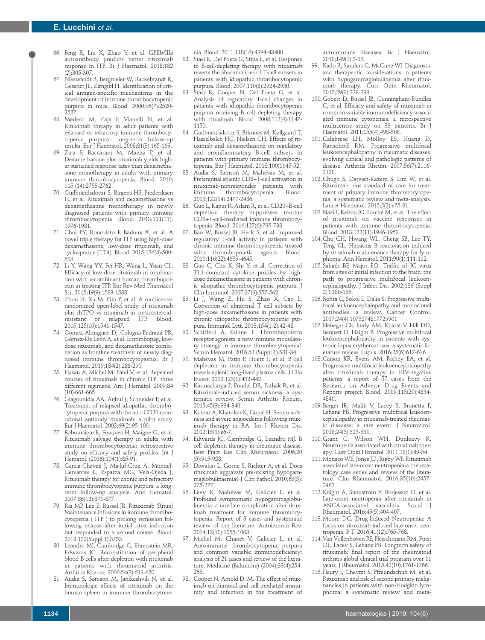- 66. Feng R, Liu X, Zhao Y, et al. GPIIb/IIIa autoantibody predicts better rituximab response in ITP. Br J Haematol. 2018;182 (2):305-307.
- 67. Nieswandt B, Bergmeier W, Rackebrandt K, Gessner JE, Zirngibl H. Identification of critical antigen-specific mechanisms in the development of immune thrombocytopenic purpura in mice. Blood. 2000;96(7):2520- 2527.
- 68. Medeot M, Zaja F, Vianelli N, et al. Rituximab therapy in adult patients with relapsed or refractory immune thrombocytopenic purpura : long-term follow-up results. Eur J Haematol. 2008;81(3):165-169.
- 69. Zaja F, Baccarani M, Mazza P, et al. Dexamethasone plus rituximab yields higher sustained response rates than dexamethasone monotherapy in adults with primary immune thrombocytopenia. Blood. 2010; 115 (14):2755-2762.
- 70. Gudbrandsdottir S, Birgens HS, Frederiksen H, et al. Rituximab and dexamethasone vs dexamethasone monotherapy in newly diagnosed patients with primary immune thrombocytopenia. Blood. 2013;121(11): 1976-1981.
- 71. Choi PY, Roncolato F, Badoux X, et al. A novel triple therapy for ITP using high-dose dexamethasone, low-dose rituximab, and cyclosporine (TT4). Blood. 2015;126(4):500- 503.
- 72. Li Y, Wang YY, Fei HR, Wang L, Yuan CL. Efficacy of low-dose rituximab in combination with recombinant human thrombopoietin in treating ITP. Eur Rev Med Pharmacol Sci. 2015;19(9):1583-1588.
- 73. Zhou H, Xu M, Qin P, et al. A multicenter randomized open-label study of rituximab plus rhTPO vs rituximab in corticosteroid-<br>resistant or relapsed ITP. Blood. resistant or relapsed 2015;125(10):1541-1547.
- 74. Gómez-Almaguer D, Colugna-Pedraza PR, Gómez-De León A, et al. Eltrombopag, lowdose rituximab, and dexamethasone combination as frontline treatment of newly diagnosed immune thrombocytopaenia. Br J Haematol. 2019;184(2):288-290.
- 75. Hasan A, Michel M, Patel V, et al. Repeated courses of rituximab in chronic ITP: three different regimens. Am J Hematol. 2009;84  $(10):661-665.$
- 76. Giagounidis AA, Anhuf J, Schneider P, et al. Treatment of relapsed idiopathic thrombocytopenic purpura with the anti-CD20 monoclonal antibody rituximab: a pilot study. Eur J Haematol. 2002;69(2):95-100.
- 77. Reboursiere E, Fouques H, Maigne G, et al. Rituximab salvage therapy in adults with immune thrombocytopenia: retrospective study on efficacy and safety profiles. Int J Hematol. (2016);104(1):85-91.
- 78. Garcia-Chavez J, Majluf-Cruz A, Montiel-Cervantes L, Esparza MG, Vela-Ojeda J, Rituximab therapy for chonic and refractory immune thrombocytopenic purpura: a longterm follow-up analysis. Ann Hematol. 2007;86(12):871-877.
- 79. Rai MP, Lee E, Bussel JB. Rituximab (Ritux) Maintenance infusions in immune thrombocytopenia ( ITP ) to prolong remission following relapse after initial ritux induction but responded to a second course. Blood. 2018;132(Suppl 1):3753.
- 80. Leandro MJ, Cambridge G, Ehrenstein MR, Edwards JC. Reconstitution of peripheral blood B cells after depletion with rituximab in patients with rheumatoid arthritis. Arthritis Rheum. 2006;54(2):613-620.
- 81. Audia S, Samson M, Janikashvili N, et al. Immunologic effects of rituximab on the human spleen in immune thrombocytope-

nia. Blood. 2011;118(16):4394-43400.

- 82. Stasi R, Del Poeta G, Stipa E, et al. Response to B-cell-depleting therapy with rituximab reverts the abnormalities of T-cell subsets in patients with idiopathic thrombocytopenic purpura. Blood. 2007;110(8):2924-2930.
- 83. Stasi R, Cooper N, Del Poeta G, et al. Analysis of regulatory T-cell changes in patients with idiopathic thrombocytopenic purpura receiving B cell depleting therapy with rituximab. Blood. 2008;112(4):1147- 1150.
- 84. Gudbrandsdottir S, Brimnes M, Køllgaard T, Hasselbalch HC, Nielsen CH. Effects of rituximab and dexamethasone on regulatory and proinflammatory B-cell subsets in patients with primary immune thrombocytopenia. Eur J Haematol. 2018;100(1):45-52.
- Audia S, Samson M, Mahévas M, et al. Preferential splenic CD8+T-cell activation in rituximab-nonresponder patients with thrombocytopenia. 2013;122(14):2477-2486.
- 86. Guo L, Kapur R, Aslam R, et al. CD20+B-cell depletion therapy suppresses murine CD8+T-cell-mediated immune thrombocytopenia. Blood. 2016;127(6):735-738.
- 87. Bao W, Bussel JB, Heck S, et al. Improved regulatory T-cell activity in patients with chronic immune thrombocytopenia treated with thrombopoietic agents. Blood. 2010;116(22):4639-4645.
- 88. Guo C, Chu X, Shi Y, et al. Correction of Th1-dominant cytokine profiles by highdose dexamethasone in patients with chronic idiopathic thrombocytopenic purpura. J Clin Immunol. 2007;27(6):557-562.
- 89. Li J, Wang Z, Hu S, Zhao X, Cao L. Correction of abnormal T cell subsets by high-dose dexamethasone in patients with chronic idiopathic thrombocytopenic purpura. Immunol Lett. 2013;154(1-2):42-48.
- 90. Schifferli A, Kühne T. Thrombopoietin receptor agonists: a new immune modulatory strategy in immune thrombocytopenia? Semin Hematol. 2016;53 (Suppl 1):S31-34.
- 91. Mahévas M, Patin P, Huetz F, et al. B cell depletion in immune thrombocytopenia reveals splenic long-lived plasma cells. J Clin Invest. 2013;123(1):432-442.
- 92. Karmacharya P, Poudel DR, Pathak R, et al. Rituximab-induced serum sickness: a systematic review. Semin Arthritis Rheum. 2015;45(3):334-340.
- 93. Kumar A, Khamkar K, Gopal H. Serum sickness and severe angioedema following rituximab therapy in RA. Int J Rheum Dis. 2012;15(1):e6-7.
- 94. Edwards JC, Cambridge G, Leandro MJ. B cell depletion therapy in rheumatic disease. Best Pract Res Clin Rheumatol. 2006;20 (5):915-928.
- Diwakar L, Gorrie S, Richter A, et al. Does rituximab aggravate pre-existing hypogammaglobulinaemia? J Clin Pathol. 2010;63(3): 275-277.
- Levy R, Mahévas M, Galicier L, et al. Profound symptomatic hypogammaglobulinemia: a rare late complication after rituximab treatment for immune thrombocytopenia. Report of 3 cases and systematic review of the literature. Autoimmun Rev. 2014;13(10):1055-1063.
- 97. Michel M, Chanet V, Galicier L, et al. Autoimmune thrombocytopenic purpura and common variable immunodeficiency: analysis of 21 cases and review of the literature. Medicine (Baltimore) (2004);83(4):254- 263.
- 98. Cooper N, Arnold D. M. The effect of rituximab on humoral and cell mediated immunity and infection in the treatment of

autoimmune diseases. Br J Haematol. 2010;149(1):3-13.

- 99. Kado R, Sanders G, McCune WJ. Diagnostic and therapeutic considerations in patients with hypogammaglobulinemia after rituximab therapy. Curr Opin Rheumatol. 2017;29(3):228-233.
- 100.Gobert D, Bussel JB, Cunningham-Rundles C, et al. Efficacy and safety of rituximab in common variable immunodeficiency-associated immune cytopenias: a retrospective multicentre study on 33 patients. Br J Haematol. 2011;155(4):498-508.
- 101.Calabrese LH, Molloy ES, Huang D, Ransohoff RM. Progressive multifocal leukoencephalopathy in rheumatic diseases: evolving clinical and pathologic patterns of disease. Arthritis Rheum. 2007;56(7):2116- 2128.
- 102.Chugh S, Darvish-Kazem S, Lim W, et al. Rituximab plus standard of care for treatment of primary immune thrombocytopenia: a systematic review and meta-analysis. Lancet Haematol. 2015;2(2):e75-81.
- 103.Nazi I, Kelton JG, Larché M, et al. The effect of rituximab on vaccine responses in patients with immune thrombocytopenia. Blood. 2013;122(11):1946-1953.
- 104.Cho CH, Hwang WL, Cheng SB, Lee TY, Teng CL. Hepatitis B reactivation induced by rituximab maintenance therapy for lymphoma. Ann Hematol. 2011;90(1):111-112.
- 105.Sabath BF, Major EO. Traffic of JC virus from sites of initial infection to the brain: the path to progressive multifocal leukoencephalopathy. J Infect Dis. 2002;186 (Suppl 2):S180-186.
- 106.Bohra C, Sokol L, Dalia S. Progressive multifocal leukoencephalopathy and monoclonal antibodies: a review. Cancer Control. 2017;24(4):1073274817729901
- 107.Henegar CE, Eudy AM, Kharat V, Hill DD, Bennett D, Haight B. Progressive multifocal leukoencephalopathy in patients with systemic lupus erythematosus: a systematic literature review. Lupus. 2016;25(6):617-626.
- 108.Carson KR, Evens AM, Richey EA, et al. Progressive multifocal leukoencephalopathy after rituximab therapy in HIV-negative patients: a report of 57 cases from the Research on Adverse Drug Events and Reports project. Blood. 2009;113(20):4834- 4840.
- 109.Berger JR, Malik V, Lacey S, Brunetta P, Lehane PB. Progressive multifocal leukoencephalopathy in rituximab-treated rheumatic diseases: a rare event. J Neurovirol. 2018;24(3):323-331.
- 110.Grant C, Wilson WH, Dunleavy K. Neutropenia associated with rituximab therapy. Curr Opin Hematol. 2011;18(1):49-54.
- 111.Monaco WE, Jones JD, Rigby WF. Rituximab associated late-onset neutropenia-a rheumatology case series and review of the literature. Clin Rheumatol. 2016;35(10):2457- 2462.
- 112.Knight A, Sundstrom Y, Borjesson O, et al. Late-onset neutropenia after rituximab in ANCA-associated vasculitis. Scand J Rheumatol. 2016;45(5):404-407.
- 113.Moore DC. Drug-Induced Neutropenia: A focus on rituximab-induced late-onset neutropenia. P T. 2016;41(12):765-768.
- 114.Van Vollenhoven RF, Fleischmann RM, Furst DE, Lacey S, Lehane PB. Longterm safety of rituximab: final report of the rheumatoid arthritis global clinical trial program over 11 years. J Rheumatol. 2015;42(10):1761-1766.
- 115.Fleury I, Chevret S, Pfreundschuh M, et al. Rituximab and risk of second primary malignancies in patients with non-Hodgkin lymphoma: a systematic review and meta-